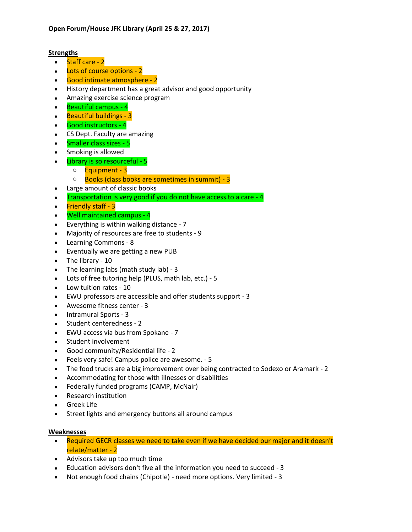### **Strengths**

- Staff care 2
- Lots of course options 2
- Good intimate atmosphere 2
- History department has a great advisor and good opportunity
- Amazing exercise science program
- Beautiful campus 4
- Beautiful buildings 3
- Good instructors 4
- CS Dept. Faculty are amazing
- Smaller class sizes 5
- Smoking is allowed
- Library is so resourceful 5
	- o **Equipment 3**
	- o Books (class books are sometimes in summit) 3
- Large amount of classic books
- Transportation is very good if you do not have access to a care 4
- Friendly staff 3
- Well maintained campus 4
- Everything is within walking distance 7
- Majority of resources are free to students 9
- Learning Commons 8
- Eventually we are getting a new PUB
- The library 10
- The learning labs (math study lab) 3
- Lots of free tutoring help (PLUS, math lab, etc.) 5
- Low tuition rates 10
- EWU professors are accessible and offer students support 3
- Awesome fitness center 3
- Intramural Sports 3
- Student centeredness 2
- EWU access via bus from Spokane 7
- Student involvement
- Good community/Residential life 2
- Feels very safe! Campus police are awesome. 5
- The food trucks are a big improvement over being contracted to Sodexo or Aramark 2
- Accommodating for those with illnesses or disabilities
- Federally funded programs (CAMP, McNair)
- Research institution
- Greek Life
- Street lights and emergency buttons all around campus

## **Weaknesses**

- Required GECR classes we need to take even if we have decided our major and it doesn't relate/matter - 2
- Advisors take up too much time
- Education advisors don't five all the information you need to succeed 3
- Not enough food chains (Chipotle) need more options. Very limited 3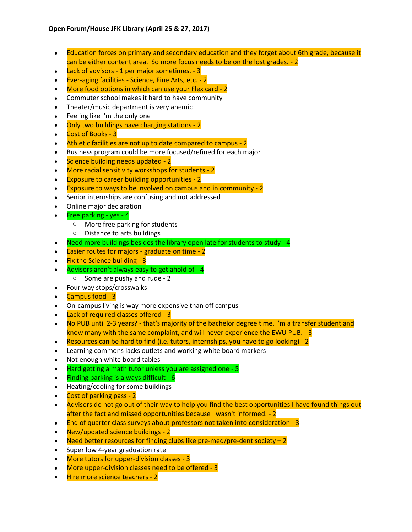- Education forces on primary and secondary education and they forget about 6th grade, because it can be either content area. So more focus needs to be on the lost grades. - 2
- Lack of advisors 1 per major sometimes. 3
- Ever-aging facilities Science, Fine Arts, etc. 2
- More food options in which can use your Flex card 2
- Commuter school makes it hard to have community
- Theater/music department is very anemic
- Feeling like I'm the only one
- Only two buildings have charging stations 2
- Cost of Books 3
- Athletic facilities are not up to date compared to campus 2
- Business program could be more focused/refined for each major
- Science building needs updated 2
- More racial sensitivity workshops for students 2
- Exposure to career building opportunities 2
- Exposure to ways to be involved on campus and in community 2
- Senior internships are confusing and not addressed
- Online major declaration
- Free parking yes  $4$ 
	- o More free parking for students
	- o Distance to arts buildings
- Need more buildings besides the library open late for students to study 4
- Easier routes for majors graduate on time 2
- Fix the Science building 3
- Advisors aren't always easy to get ahold of 4
	- o Some are pushy and rude 2
- Four way stops/crosswalks
- Campus food 3
- On-campus living is way more expensive than off campus
- Lack of required classes offered 3
- No PUB until 2-3 years? that's majority of the bachelor degree time. I'm a transfer student and know many with the same complaint, and will never experience the EWU PUB. - 3
- Resources can be hard to find (i.e. tutors, internships, you have to go looking) 2
- Learning commons lacks outlets and working white board markers
- Not enough white board tables
- Hard getting a math tutor unless you are assigned one 5
- $\bullet$  Finding parking is always difficult 6
- Heating/cooling for some buildings
- Cost of parking pass 2
- Advisors do not go out of their way to help you find the best opportunities I have found things out after the fact and missed opportunities because I wasn't informed. - 2
- End of quarter class surveys about professors not taken into consideration 3
- New/updated science buildings 2
- Need better resources for finding clubs like pre-med/pre-dent society  $-2$
- Super low 4-year graduation rate
- More tutors for upper-division classes 3
- More upper-division classes need to be offered 3
- Hire more science teachers 2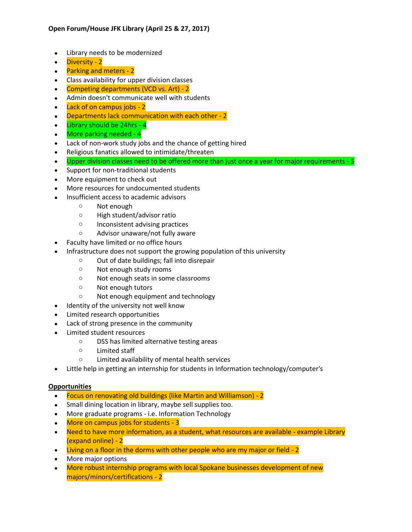- Library needs to be modernized
- Diversity 2
- Parking and meters 2
- Class availability for upper division classes
- Competing departments (VCD vs. Art) 2
- Admin doesn't communicate well with students
- Lack of on campus jobs 2
- Departments lack communication with each other 2
- $\bullet$  Library should be 24hrs 4
- More parking needed 4
- Lack of non-work study jobs and the chance of getting hired
- Religious fanatics allowed to intimidate/threaten
- Upper division classes need to be offered more than just once a year for major requirements 5
- Support for non-traditional students
- More equipment to check out
- More resources for undocumented students
- Insufficient access to academic advisors
	- o Not enough
	- o High student/advisor ratio
	- o Inconsistent advising practices
	- o Advisor unaware/not fully aware
- Faculty have limited or no office hours
- Infrastructure does not support the growing population of this university
	- o Out of date buildings; fall into disrepair
	- o Not enough study rooms
	- o Not enough seats in some classrooms
	- o Not enough tutors
	- o Not enough equipment and technology
- Identity of the university not well know
- Limited research opportunities
- Lack of strong presence in the community
- Limited student resources
	- o DSS has limited alternative testing areas
	- o Limited staff
	- o Limited availability of mental health services
- Little help in getting an internship for students in Information technology/computer's

### **Opportunities**

- Focus on renovating old buildings (like Martin and Williamson) 2
- Small dining location in library, maybe sell supplies too.
- More graduate programs i.e. Information Technology
- More on campus jobs for students 3
- Need to have more information, as a student, what resources are available example Library (expand online) - 2
- Living on a floor in the dorms with other people who are my major or field 2
- More major options
- More robust internship programs with local Spokane businesses development of new majors/minors/certifications - 2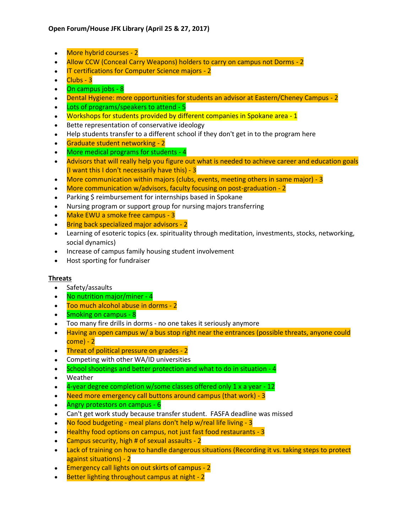- More hybrid courses 2
- Allow CCW (Conceal Carry Weapons) holders to carry on campus not Dorms 2
- **IT certifications for Computer Science majors 2**
- $\bullet$   $\blacksquare$  Clubs 3
- On campus jobs 8
- Dental Hygiene: more opportunities for students an advisor at Eastern/Cheney Campus 2
- Lots of programs/speakers to attend 5
- Workshops for students provided by different companies in Spokane area 1
- Bette representation of conservative ideology
- Help students transfer to a different school if they don't get in to the program here
- Graduate student networking 2
- More medical programs for students 4
- Advisors that will really help you figure out what is needed to achieve career and education goals (I want this I don't necessarily have this) - 3
- More communication within majors (clubs, events, meeting others in same major) 3
- More communication w/advisors, faculty focusing on post-graduation 2
- Parking \$ reimbursement for internships based in Spokane
- Nursing program or support group for nursing majors transferring
- Make EWU a smoke free campus 3
- Bring back specialized major advisors 2
- Learning of esoteric topics (ex. spirituality through meditation, investments, stocks, networking, social dynamics)
- Increase of campus family housing student involvement
- Host sporting for fundraiser

### **Threats**

- Safety/assaults
- No nutrition major/miner 4
- Too much alcohol abuse in dorms 2
- Smoking on campus 8
- Too many fire drills in dorms no one takes it seriously anymore
- Having an open campus w/ a bus stop right near the entrances (possible threats, anyone could come) - 2
- Threat of political pressure on grades 2
- Competing with other WA/ID universities
- School shootings and better protection and what to do in situation 4
- Weather
- $\bullet$  4-year degree completion w/some classes offered only 1 x a year 12
- Need more emergency call buttons around campus (that work) 3
- Angry protestors on campus 6
- Can't get work study because transfer student. FASFA deadline was missed
- No food budgeting meal plans don't help w/real life living 3
- Healthy food options on campus, not just fast food restaurants 3
- Campus security, high # of sexual assaults 2
- Lack of training on how to handle dangerous situations (Recording it vs. taking steps to protect against situations) - 2
- Emergency call lights on out skirts of campus 2
- Better lighting throughout campus at night 2